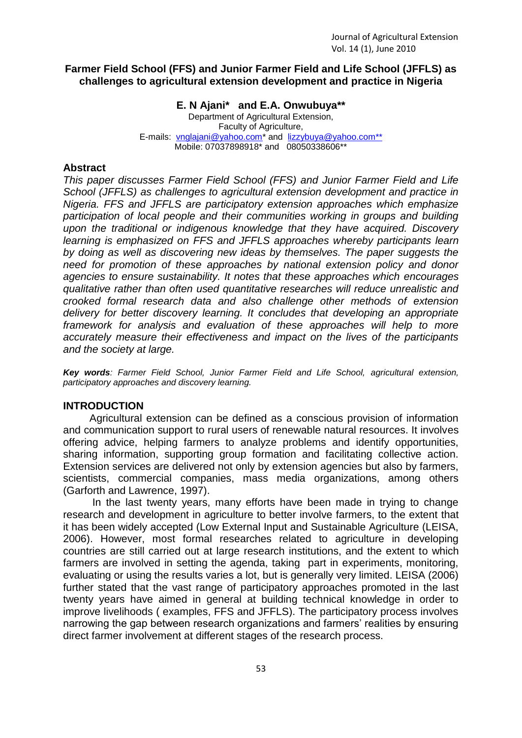## **Farmer Field School (FFS) and Junior Farmer Field and Life School (JFFLS) as challenges to agricultural extension development and practice in Nigeria**

**E. N Ajani\* and E.A. Onwubuya\*\*** Department of Agricultural Extension, Faculty of Agriculture, E-mails: <u>vnglajani@yahoo.com</u>\* and <u>[lizzybuya@yahoo.com\\*\\*](mailto:lizzybuya@yahoo.com**)</u> Mobile: 07037898918\* and 08050338606\*\*

#### **Abstract**

*This paper discusses Farmer Field School (FFS) and Junior Farmer Field and Life School (JFFLS) as challenges to agricultural extension development and practice in Nigeria. FFS and JFFLS are participatory extension approaches which emphasize participation of local people and their communities working in groups and building upon the traditional or indigenous knowledge that they have acquired. Discovery learning is emphasized on FFS and JFFLS approaches whereby participants learn by doing as well as discovering new ideas by themselves. The paper suggests the need for promotion of these approaches by national extension policy and donor agencies to ensure sustainability. It notes that these approaches which encourages qualitative rather than often used quantitative researches will reduce unrealistic and crooked formal research data and also challenge other methods of extension delivery for better discovery learning. It concludes that developing an appropriate framework for analysis and evaluation of these approaches will help to more accurately measure their effectiveness and impact on the lives of the participants and the society at large.*

*Key words: Farmer Field School, Junior Farmer Field and Life School, agricultural extension, participatory approaches and discovery learning.*

## **INTRODUCTION**

 Agricultural extension can be defined as a conscious provision of information and communication support to rural users of renewable natural resources. It involves offering advice, helping farmers to analyze problems and identify opportunities, sharing information, supporting group formation and facilitating collective action. Extension services are delivered not only by extension agencies but also by farmers, scientists, commercial companies, mass media organizations, among others (Garforth and Lawrence, 1997).

 In the last twenty years, many efforts have been made in trying to change research and development in agriculture to better involve farmers, to the extent that it has been widely accepted (Low External Input and Sustainable Agriculture (LEISA, 2006). However, most formal researches related to agriculture in developing countries are still carried out at large research institutions, and the extent to which farmers are involved in setting the agenda, taking part in experiments, monitoring, evaluating or using the results varies a lot, but is generally very limited. LEISA (2006) further stated that the vast range of participatory approaches promoted in the last twenty years have aimed in general at building technical knowledge in order to improve livelihoods ( examples, FFS and JFFLS). The participatory process involves narrowing the gap between research organizations and farmers' realities by ensuring direct farmer involvement at different stages of the research process.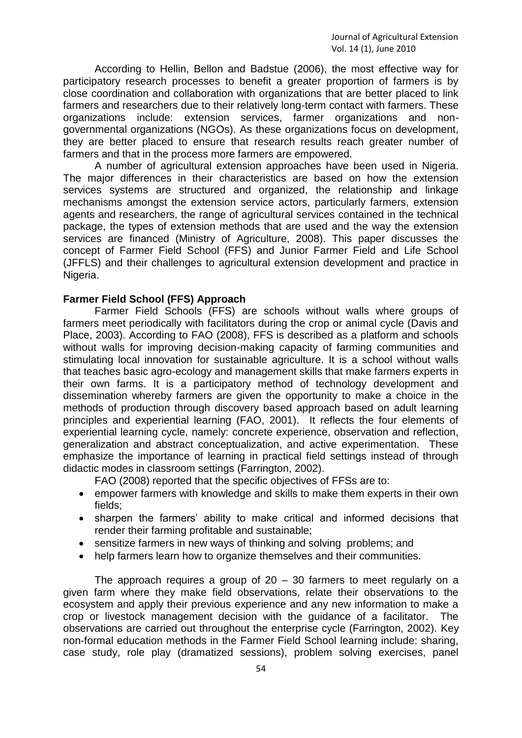Journal of Agricultural Extension Vol. 14 (1), June 2010

 According to Hellin, Bellon and Badstue (2006), the most effective way for participatory research processes to benefit a greater proportion of farmers is by close coordination and collaboration with organizations that are better placed to link farmers and researchers due to their relatively long-term contact with farmers. These organizations include: extension services, farmer organizations and nongovernmental organizations (NGOs). As these organizations focus on development, they are better placed to ensure that research results reach greater number of farmers and that in the process more farmers are empowered.

A number of agricultural extension approaches have been used in Nigeria. The major differences in their characteristics are based on how the extension services systems are structured and organized, the relationship and linkage mechanisms amongst the extension service actors, particularly farmers, extension agents and researchers, the range of agricultural services contained in the technical package, the types of extension methods that are used and the way the extension services are financed (Ministry of Agriculture, 2008). This paper discusses the concept of Farmer Field School (FFS) and Junior Farmer Field and Life School (JFFLS) and their challenges to agricultural extension development and practice in Nigeria.

## **Farmer Field School (FFS) Approach**

Farmer Field Schools (FFS) are schools without walls where groups of farmers meet periodically with facilitators during the crop or animal cycle (Davis and Place, 2003). According to FAO (2008), FFS is described as a platform and schools without walls for improving decision-making capacity of farming communities and stimulating local innovation for sustainable agriculture. It is a school without walls that teaches basic agro-ecology and management skills that make farmers experts in their own farms. It is a participatory method of technology development and dissemination whereby farmers are given the opportunity to make a choice in the methods of production through discovery based approach based on adult learning principles and experiential learning (FAO, 2001). It reflects the four elements of experiential learning cycle, namely: concrete experience, observation and reflection, generalization and abstract conceptualization, and active experimentation. These emphasize the importance of learning in practical field settings instead of through didactic modes in classroom settings (Farrington, 2002).

FAO (2008) reported that the specific objectives of FFSs are to:

- empower farmers with knowledge and skills to make them experts in their own fields;
- sharpen the farmers' ability to make critical and informed decisions that render their farming profitable and sustainable;
- sensitize farmers in new ways of thinking and solving problems; and
- help farmers learn how to organize themselves and their communities.

The approach requires a group of  $20 - 30$  farmers to meet regularly on a given farm where they make field observations, relate their observations to the ecosystem and apply their previous experience and any new information to make a crop or livestock management decision with the guidance of a facilitator. The observations are carried out throughout the enterprise cycle (Farrington, 2002). Key non-formal education methods in the Farmer Field School learning include: sharing, case study, role play (dramatized sessions), problem solving exercises, panel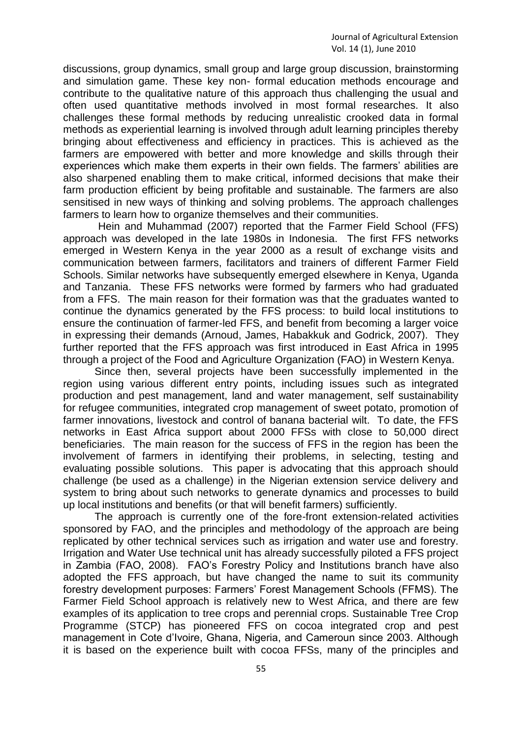discussions, group dynamics, small group and large group discussion, brainstorming and simulation game. These key non- formal education methods encourage and contribute to the qualitative nature of this approach thus challenging the usual and often used quantitative methods involved in most formal researches. It also challenges these formal methods by reducing unrealistic crooked data in formal methods as experiential learning is involved through adult learning principles thereby bringing about effectiveness and efficiency in practices. This is achieved as the farmers are empowered with better and more knowledge and skills through their experiences which make them experts in their own fields. The farmers' abilities are also sharpened enabling them to make critical, informed decisions that make their farm production efficient by being profitable and sustainable. The farmers are also sensitised in new ways of thinking and solving problems. The approach challenges farmers to learn how to organize themselves and their communities.

 Hein and Muhammad (2007) reported that the Farmer Field School (FFS) approach was developed in the late 1980s in Indonesia. The first FFS networks emerged in Western Kenya in the year 2000 as a result of exchange visits and communication between farmers, facilitators and trainers of different Farmer Field Schools. Similar networks have subsequently emerged elsewhere in Kenya, Uganda and Tanzania. These FFS networks were formed by farmers who had graduated from a FFS. The main reason for their formation was that the graduates wanted to continue the dynamics generated by the FFS process: to build local institutions to ensure the continuation of farmer-led FFS, and benefit from becoming a larger voice in expressing their demands (Arnoud, James, Habakkuk and Godrick, 2007). They further reported that the FFS approach was first introduced in East Africa in 1995 through a project of the Food and Agriculture Organization (FAO) in Western Kenya.

Since then, several projects have been successfully implemented in the region using various different entry points, including issues such as integrated production and pest management, land and water management, self sustainability for refugee communities, integrated crop management of sweet potato, promotion of farmer innovations, livestock and control of banana bacterial wilt. To date, the FFS networks in East Africa support about 2000 FFSs with close to 50,000 direct beneficiaries. The main reason for the success of FFS in the region has been the involvement of farmers in identifying their problems, in selecting, testing and evaluating possible solutions. This paper is advocating that this approach should challenge (be used as a challenge) in the Nigerian extension service delivery and system to bring about such networks to generate dynamics and processes to build up local institutions and benefits (or that will benefit farmers) sufficiently.

The approach is currently one of the fore-front extension-related activities sponsored by FAO, and the principles and methodology of the approach are being replicated by other technical services such as irrigation and water use and forestry. Irrigation and Water Use technical unit has already successfully piloted a FFS project in Zambia (FAO, 2008). FAO's Forestry Policy and Institutions branch have also adopted the FFS approach, but have changed the name to suit its community forestry development purposes: Farmers' Forest Management Schools (FFMS). The Farmer Field School approach is relatively new to West Africa, and there are few examples of its application to tree crops and perennial crops. Sustainable Tree Crop Programme (STCP) has pioneered FFS on cocoa integrated crop and pest management in Cote d'Ivoire, Ghana, Nigeria, and Cameroun since 2003. Although it is based on the experience built with cocoa FFSs, many of the principles and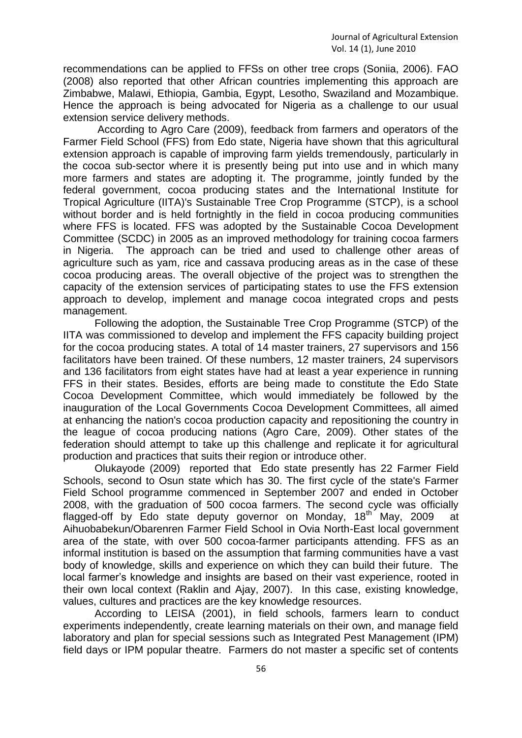recommendations can be applied to FFSs on other tree crops (Soniia, 2006). FAO (2008) also reported that other African countries implementing this approach are Zimbabwe, Malawi, Ethiopia, Gambia, Egypt, Lesotho, Swaziland and Mozambique. Hence the approach is being advocated for Nigeria as a challenge to our usual extension service delivery methods.

According to Agro Care (2009), feedback from farmers and operators of the Farmer Field School (FFS) from Edo state, Nigeria have shown that this agricultural extension approach is capable of improving farm yields tremendously, particularly in the cocoa sub-sector where it is presently being put into use and in which many more farmers and states are adopting it. The programme, jointly funded by the federal government, cocoa producing states and the International Institute for Tropical Agriculture (IITA)'s Sustainable Tree Crop Programme (STCP), is a school without border and is held fortnightly in the field in cocoa producing communities where FFS is located. FFS was adopted by the Sustainable Cocoa Development Committee (SCDC) in 2005 as an improved methodology for training cocoa farmers in Nigeria. The approach can be tried and used to challenge other areas of agriculture such as yam, rice and cassava producing areas as in the case of these cocoa producing areas. The overall objective of the project was to strengthen the capacity of the extension services of participating states to use the FFS extension approach to develop, implement and manage cocoa integrated crops and pests management.

Following the adoption, the Sustainable Tree Crop Programme (STCP) of the IITA was commissioned to develop and implement the FFS capacity building project for the cocoa producing states. A total of 14 master trainers, 27 supervisors and 156 facilitators have been trained. Of these numbers, 12 master trainers, 24 supervisors and 136 facilitators from eight states have had at least a year experience in running FFS in their states. Besides, efforts are being made to constitute the Edo State Cocoa Development Committee, which would immediately be followed by the inauguration of the Local Governments Cocoa Development Committees, all aimed at enhancing the nation's cocoa production capacity and repositioning the country in the league of cocoa producing nations (Agro Care, 2009). Other states of the federation should attempt to take up this challenge and replicate it for agricultural production and practices that suits their region or introduce other.

Olukayode (2009) reported that Edo state presently has 22 Farmer Field Schools, second to Osun state which has 30. The first cycle of the state's Farmer Field School programme commenced in September 2007 and ended in October 2008, with the graduation of 500 cocoa farmers. The second cycle was officially flagged-off by Edo state deputy governor on Monday, 18<sup>th May</sup>, 2009 at Aihuobabekun/Obarenren Farmer Field School in Ovia North-East local government area of the state, with over 500 cocoa-farmer participants attending. FFS as an informal institution is based on the assumption that farming communities have a vast body of knowledge, skills and experience on which they can build their future. The local farmer's knowledge and insights are based on their vast experience, rooted in their own local context (Raklin and Ajay, 2007). In this case, existing knowledge, values, cultures and practices are the key knowledge resources.

According to LEISA (2001), in field schools, farmers learn to conduct experiments independently, create learning materials on their own, and manage field laboratory and plan for special sessions such as Integrated Pest Management (IPM) field days or IPM popular theatre. Farmers do not master a specific set of contents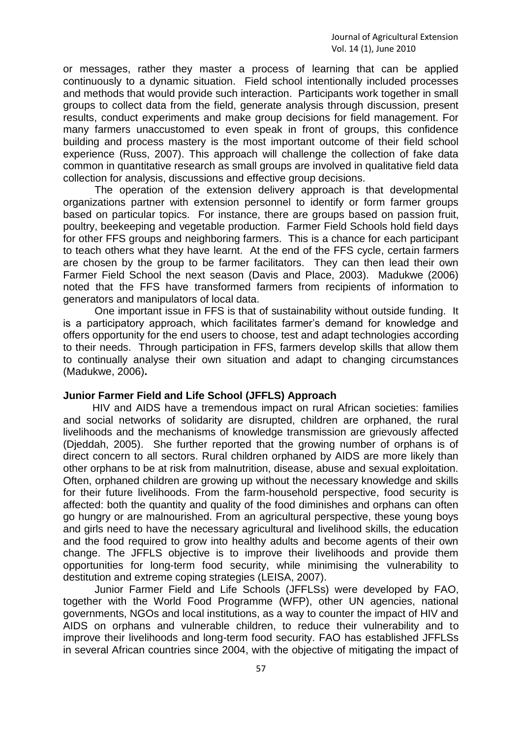Journal of Agricultural Extension Vol. 14 (1), June 2010

or messages, rather they master a process of learning that can be applied continuously to a dynamic situation. Field school intentionally included processes and methods that would provide such interaction. Participants work together in small groups to collect data from the field, generate analysis through discussion, present results, conduct experiments and make group decisions for field management. For many farmers unaccustomed to even speak in front of groups, this confidence building and process mastery is the most important outcome of their field school experience (Russ, 2007). This approach will challenge the collection of fake data common in quantitative research as small groups are involved in qualitative field data collection for analysis, discussions and effective group decisions.

The operation of the extension delivery approach is that developmental organizations partner with extension personnel to identify or form farmer groups based on particular topics. For instance, there are groups based on passion fruit, poultry, beekeeping and vegetable production. Farmer Field Schools hold field days for other FFS groups and neighboring farmers. This is a chance for each participant to teach others what they have learnt. At the end of the FFS cycle, certain farmers are chosen by the group to be farmer facilitators. They can then lead their own Farmer Field School the next season (Davis and Place, 2003). Madukwe (2006) noted that the FFS have transformed farmers from recipients of information to generators and manipulators of local data.

One important issue in FFS is that of sustainability without outside funding. It is a participatory approach, which facilitates farmer's demand for knowledge and offers opportunity for the end users to choose, test and adapt technologies according to their needs. Through participation in FFS, farmers develop skills that allow them to continually analyse their own situation and adapt to changing circumstances (Madukwe, 2006)**.**

## **Junior Farmer Field and Life School (JFFLS) Approach**

HIV and AIDS have a tremendous impact on rural African societies: families and social networks of solidarity are disrupted, children are orphaned, the rural livelihoods and the mechanisms of knowledge transmission are grievously affected (Djeddah, 2005). She further reported that the growing number of orphans is of direct concern to all sectors. Rural children orphaned by AIDS are more likely than other orphans to be at risk from malnutrition, disease, abuse and sexual exploitation. Often, orphaned children are growing up without the necessary knowledge and skills for their future livelihoods. From the farm-household perspective, food security is affected: both the quantity and quality of the food diminishes and orphans can often go hungry or are malnourished. From an agricultural perspective, these young boys and girls need to have the necessary agricultural and livelihood skills, the education and the food required to grow into healthy adults and become agents of their own change. The JFFLS objective is to improve their livelihoods and provide them opportunities for long-term food security, while minimising the vulnerability to destitution and extreme coping strategies (LEISA, 2007).

 Junior Farmer Field and Life Schools (JFFLSs) were developed by FAO, together with the World Food Programme (WFP), other UN agencies, national governments, NGOs and local institutions, as a way to counter the impact of HIV and AIDS on orphans and vulnerable children, to reduce their vulnerability and to improve their livelihoods and long-term food security. FAO has established JFFLSs in several African countries since 2004, with the objective of mitigating the impact of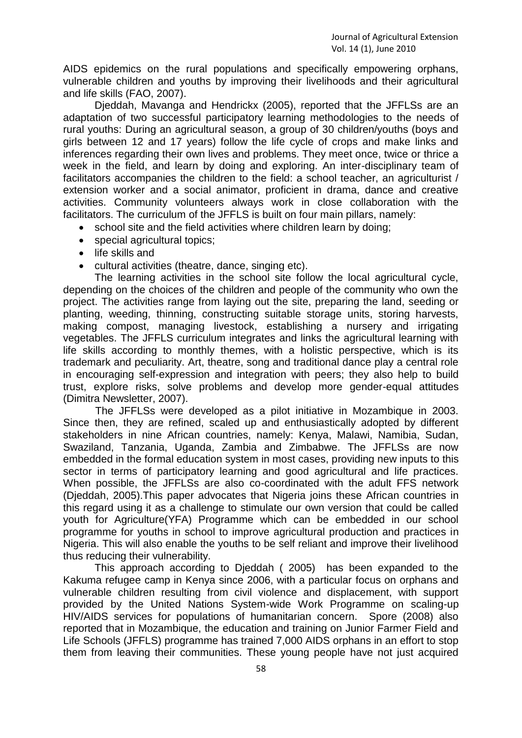AIDS epidemics on the rural populations and specifically empowering orphans, vulnerable children and youths by improving their livelihoods and their agricultural and life skills (FAO, 2007).

Djeddah, Mavanga and Hendrickx (2005), reported that the JFFLSs are an adaptation of two successful participatory learning methodologies to the needs of rural youths: During an agricultural season, a group of 30 children/youths (boys and girls between 12 and 17 years) follow the life cycle of crops and make links and inferences regarding their own lives and problems. They meet once, twice or thrice a week in the field, and learn by doing and exploring. An inter-disciplinary team of facilitators accompanies the children to the field: a school teacher, an agriculturist / extension worker and a social animator, proficient in drama, dance and creative activities. Community volunteers always work in close collaboration with the facilitators. The curriculum of the JFFLS is built on four main pillars, namely:

- school site and the field activities where children learn by doing;
- special agricultural topics;
- life skills and
- cultural activities (theatre, dance, singing etc).

The learning activities in the school site follow the local agricultural cycle, depending on the choices of the children and people of the community who own the project. The activities range from laying out the site, preparing the land, seeding or planting, weeding, thinning, constructing suitable storage units, storing harvests, making compost, managing livestock, establishing a nursery and irrigating vegetables. The JFFLS curriculum integrates and links the agricultural learning with life skills according to monthly themes, with a holistic perspective, which is its trademark and peculiarity. Art, theatre, song and traditional dance play a central role in encouraging self-expression and integration with peers; they also help to build trust, explore risks, solve problems and develop more gender-equal attitudes (Dimitra Newsletter, 2007).

 The JFFLSs were developed as a pilot initiative in Mozambique in 2003. Since then, they are refined, scaled up and enthusiastically adopted by different stakeholders in nine African countries, namely: Kenya, Malawi, Namibia, Sudan, Swaziland, Tanzania, Uganda, Zambia and Zimbabwe. The JFFLSs are now embedded in the formal education system in most cases, providing new inputs to this sector in terms of participatory learning and good agricultural and life practices. When possible, the JFFLSs are also co-coordinated with the adult FFS network (Djeddah, 2005).This paper advocates that Nigeria joins these African countries in this regard using it as a challenge to stimulate our own version that could be called youth for Agriculture(YFA) Programme which can be embedded in our school programme for youths in school to improve agricultural production and practices in Nigeria. This will also enable the youths to be self reliant and improve their livelihood thus reducing their vulnerability.

This approach according to Djeddah ( 2005) has been expanded to the Kakuma refugee camp in Kenya since 2006, with a particular focus on orphans and vulnerable children resulting from civil violence and displacement, with support provided by the United Nations System-wide Work Programme on scaling-up HIV/AIDS services for populations of humanitarian concern. Spore (2008) also reported that in Mozambique, the education and training on Junior Farmer Field and Life Schools (JFFLS) programme has trained 7,000 AIDS orphans in an effort to stop them from leaving their communities. These young people have not just acquired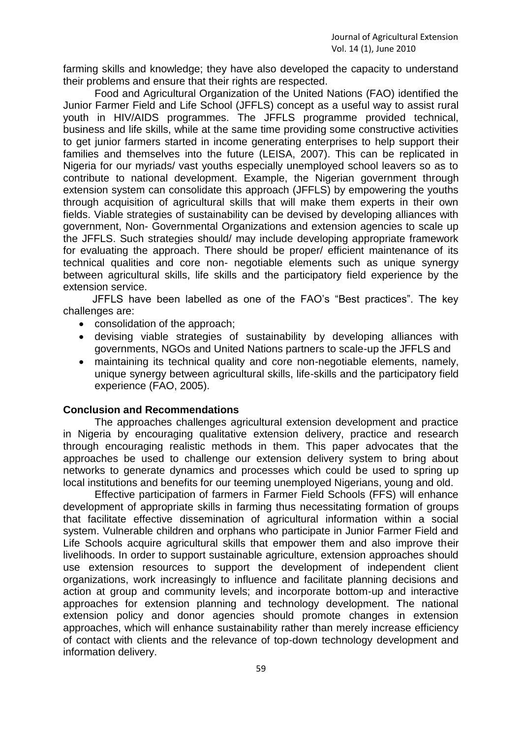farming skills and knowledge; they have also developed the capacity to understand their problems and ensure that their rights are respected.

Food and Agricultural Organization of the United Nations (FAO) identified the Junior Farmer Field and Life School (JFFLS) concept as a useful way to assist rural youth in HIV/AIDS programmes. The JFFLS programme provided technical, business and life skills, while at the same time providing some constructive activities to get junior farmers started in income generating enterprises to help support their families and themselves into the future (LEISA, 2007). This can be replicated in Nigeria for our myriads/ vast youths especially unemployed school leavers so as to contribute to national development. Example, the Nigerian government through extension system can consolidate this approach (JFFLS) by empowering the youths through acquisition of agricultural skills that will make them experts in their own fields. Viable strategies of sustainability can be devised by developing alliances with government, Non- Governmental Organizations and extension agencies to scale up the JFFLS. Such strategies should/ may include developing appropriate framework for evaluating the approach. There should be proper/ efficient maintenance of its technical qualities and core non- negotiable elements such as unique synergy between agricultural skills, life skills and the participatory field experience by the extension service.

JFFLS have been labelled as one of the FAO's "Best practices". The key challenges are:

- consolidation of the approach;
- devising viable strategies of sustainability by developing alliances with governments, NGOs and United Nations partners to scale-up the JFFLS and
- maintaining its technical quality and core non-negotiable elements, namely, unique synergy between agricultural skills, life-skills and the participatory field experience (FAO, 2005).

## **Conclusion and Recommendations**

The approaches challenges agricultural extension development and practice in Nigeria by encouraging qualitative extension delivery, practice and research through encouraging realistic methods in them. This paper advocates that the approaches be used to challenge our extension delivery system to bring about networks to generate dynamics and processes which could be used to spring up local institutions and benefits for our teeming unemployed Nigerians, young and old.

Effective participation of farmers in Farmer Field Schools (FFS) will enhance development of appropriate skills in farming thus necessitating formation of groups that facilitate effective dissemination of agricultural information within a social system. Vulnerable children and orphans who participate in Junior Farmer Field and Life Schools acquire agricultural skills that empower them and also improve their livelihoods. In order to support sustainable agriculture, extension approaches should use extension resources to support the development of independent client organizations, work increasingly to influence and facilitate planning decisions and action at group and community levels; and incorporate bottom-up and interactive approaches for extension planning and technology development. The national extension policy and donor agencies should promote changes in extension approaches, which will enhance sustainability rather than merely increase efficiency of contact with clients and the relevance of top-down technology development and information delivery.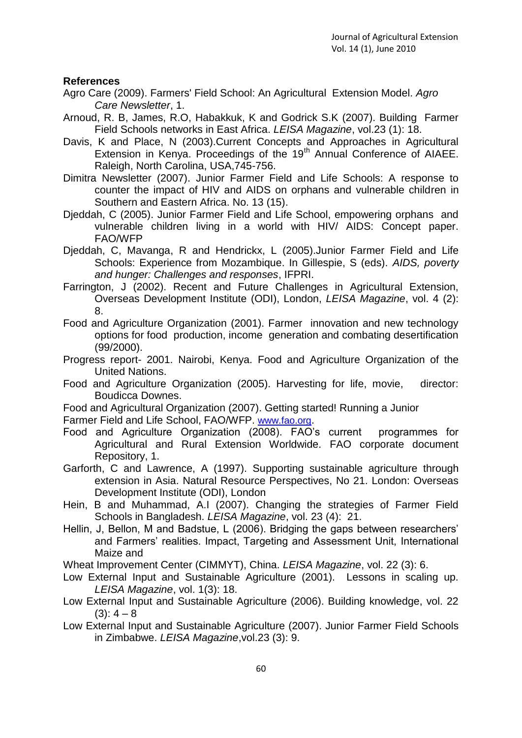# **References**

- Agro Care (2009). Farmers' Field School: An Agricultural Extension Model. *Agro Care Newsletter*, 1.
- Arnoud, R. B, James, R.O, Habakkuk, K and Godrick S.K (2007). Building Farmer Field Schools networks in East Africa. *LEISA Magazine*, vol.23 (1): 18.
- Davis, K and Place, N (2003).Current Concepts and Approaches in Agricultural Extension in Kenya. Proceedings of the 19<sup>th</sup> Annual Conference of AIAEE. Raleigh, North Carolina, USA,745-756.
- Dimitra Newsletter (2007). Junior Farmer Field and Life Schools: A response to counter the impact of HIV and AIDS on orphans and vulnerable children in Southern and Eastern Africa. No. 13 (15).
- Djeddah, C (2005). Junior Farmer Field and Life School, empowering orphans and vulnerable children living in a world with HIV/ AIDS: Concept paper. FAO/WFP
- Djeddah, C, Mavanga, R and Hendrickx, L (2005).Junior Farmer Field and Life Schools: Experience from Mozambique. In Gillespie, S (eds). *AIDS, poverty and hunger: Challenges and responses*, IFPRI.
- Farrington, J (2002). Recent and Future Challenges in Agricultural Extension, Overseas Development Institute (ODI), London, *LEISA Magazine*, vol. 4 (2): 8.
- Food and Agriculture Organization (2001). Farmer innovation and new technology options for food production, income generation and combating desertification  $(99/2000)$ .
- Progress report- 2001. Nairobi, Kenya. Food and Agriculture Organization of the United Nations.
- Food and Agriculture Organization (2005). Harvesting for life, movie, director: Boudicca Downes.
- Food and Agricultural Organization (2007). Getting started! Running a Junior
- Farmer Field and Life School, FAO/WFP. [www.fao.org](http://www.fao.org/).
- Food and Agriculture Organization (2008). FAO's current programmes for Agricultural and Rural Extension Worldwide. FAO corporate document Repository, 1.
- Garforth, C and Lawrence, A (1997). Supporting sustainable agriculture through extension in Asia. Natural Resource Perspectives, No 21. London: Overseas Development Institute (ODI), London
- Hein, B and Muhammad, A.I (2007). Changing the strategies of Farmer Field Schools in Bangladesh. *LEISA Magazine*, vol. 23 (4): 21.
- Hellin, J, Bellon, M and Badstue, L (2006). Bridging the gaps between researchers' and Farmers' realities. Impact, Targeting and Assessment Unit, International Maize and
- Wheat Improvement Center (CIMMYT), China. *LEISA Magazine*, vol. 22 (3): 6.
- Low External Input and Sustainable Agriculture (2001). Lessons in scaling up. *LEISA Magazine*, vol. 1(3): 18.
- Low External Input and Sustainable Agriculture (2006). Building knowledge, vol. 22  $(3): 4 - 8$
- Low External Input and Sustainable Agriculture (2007). Junior Farmer Field Schools in Zimbabwe. *LEISA Magazine*,vol.23 (3): 9.